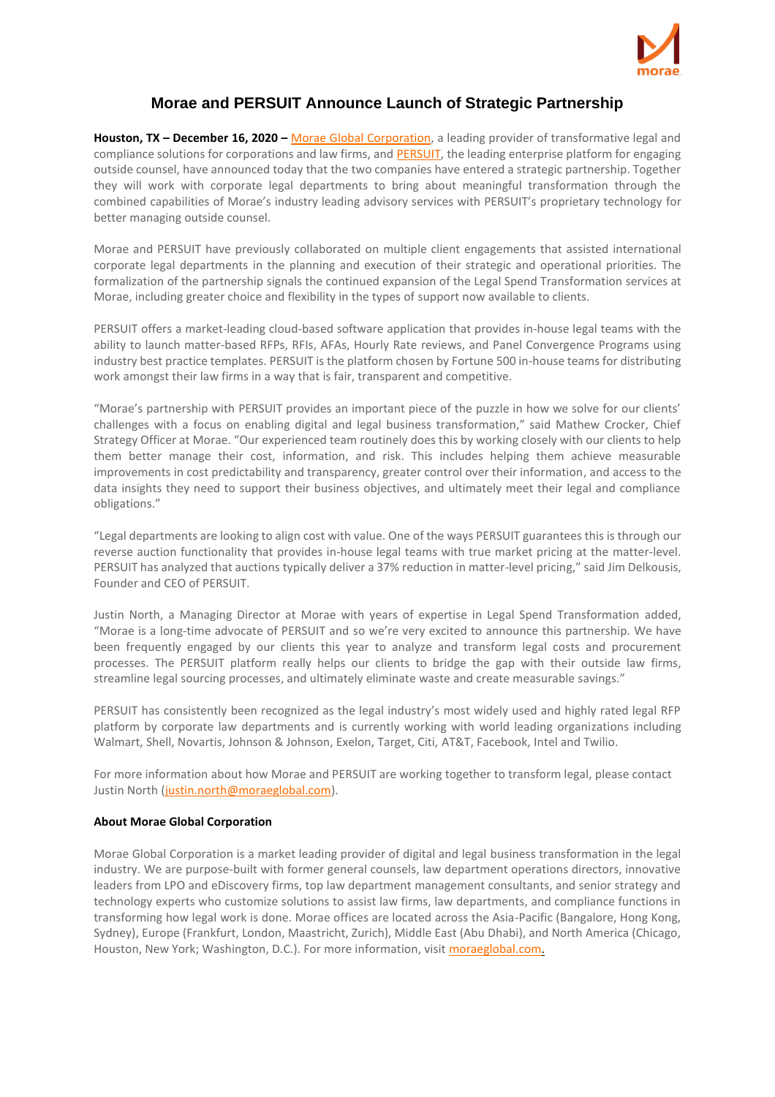

## **Morae and PERSUIT Announce Launch of Strategic Partnership**

**Houston, TX – December 16, 2020 –** Morae Global [Corporation,](https://www.moraeglobal.com/) a leading provider of transformative legal and compliance solutions for corporations and law firms, and **PERSUIT**, the leading enterprise platform for engaging outside counsel, have announced today that the two companies have entered a strategic partnership. Together they will work with corporate legal departments to bring about meaningful transformation through the combined capabilities of Morae's industry leading advisory services with PERSUIT's proprietary technology for better managing outside counsel.

Morae and PERSUIT have previously collaborated on multiple client engagements that assisted international corporate legal departments in the planning and execution of their strategic and operational priorities. The formalization of the partnership signals the continued expansion of the Legal Spend Transformation services at Morae, including greater choice and flexibility in the types of support now available to clients.

PERSUIT offers a market-leading cloud-based software application that provides in-house legal teams with the ability to launch matter-based RFPs, RFIs, AFAs, Hourly Rate reviews, and Panel Convergence Programs using industry best practice templates. PERSUIT is the platform chosen by Fortune 500 in-house teams for distributing work amongst their law firms in a way that is fair, transparent and competitive.

"Morae's partnership with PERSUIT provides an important piece of the puzzle in how we solve for our clients' challenges with a focus on enabling digital and legal business transformation," said Mathew Crocker, Chief Strategy Officer at Morae. "Our experienced team routinely does this by working closely with our clients to help them better manage their cost, information, and risk. This includes helping them achieve measurable improvements in cost predictability and transparency, greater control over their information, and access to the data insights they need to support their business objectives, and ultimately meet their legal and compliance obligations."

"Legal departments are looking to align cost with value. One of the ways PERSUIT guarantees this is through our reverse auction functionality that provides in-house legal teams with true market pricing at the matter-level. PERSUIT has analyzed that auctions typically deliver a 37% reduction in matter-level pricing," said Jim Delkousis, Founder and CEO of PERSUIT.

Justin North, a Managing Director at Morae with years of expertise in Legal Spend Transformation added, "Morae is a long-time advocate of PERSUIT and so we're very excited to announce this partnership. We have been frequently engaged by our clients this year to analyze and transform legal costs and procurement processes. The PERSUIT platform really helps our clients to bridge the gap with their outside law firms, streamline legal sourcing processes, and ultimately eliminate waste and create measurable savings."

PERSUIT has consistently been recognized as the legal industry's most widely used and highly rated legal RFP platform by corporate law departments and is currently working with world leading organizations including Walmart, Shell, Novartis, Johnson & Johnson, Exelon, Target, Citi, AT&T, Facebook, Intel and Twilio.

For more information about how Morae and PERSUIT are working together to transform legal, please contact Justin North [\(justin.north@moraeglobal.com\)](mailto:justin.north@moraeglobal.com).

## **About Morae Global Corporation**

Morae Global Corporation is a market leading provider of digital and legal business transformation in the legal industry. We are purpose-built with former general counsels, law department operations directors, innovative leaders from LPO and eDiscovery firms, top law department management consultants, and senior strategy and technology experts who customize solutions to assist law firms, law departments, and compliance functions in transforming how legal work is done. Morae offices are located across the Asia-Pacific (Bangalore, Hong Kong, Sydney), Europe (Frankfurt, London, Maastricht, Zurich), Middle East (Abu Dhabi), and North America (Chicago, Houston, New York; Washington, D.C.). For more information, visit [moraeglobal.com.](http://www.moraeglobal.com/)